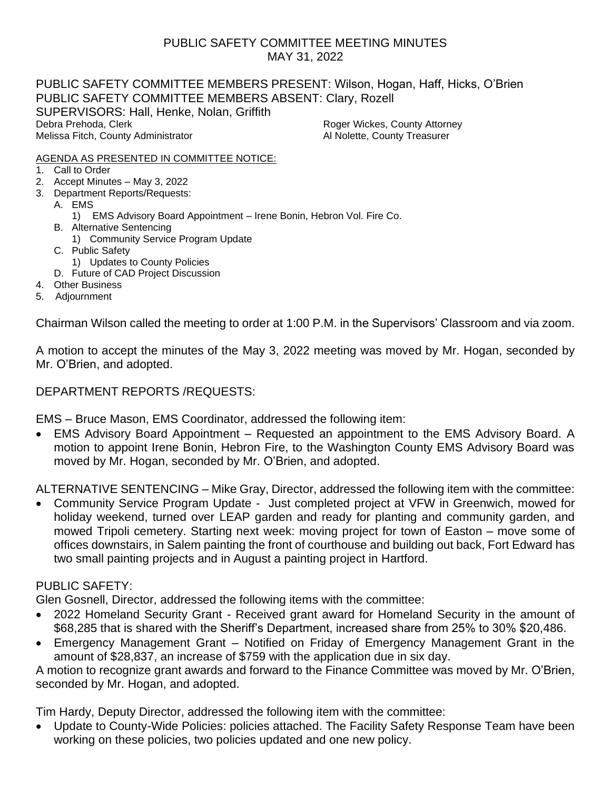## PUBLIC SAFETY COMMITTEE MEETING MINUTES MAY 31, 2022

PUBLIC SAFETY COMMITTEE MEMBERS PRESENT: Wilson, Hogan, Haff, Hicks, O'Brien PUBLIC SAFETY COMMITTEE MEMBERS ABSENT: Clary, Rozell SUPERVISORS: Hall, Henke, Nolan, Griffith Debra Prehoda, Clerk **Roger Wickes, County Attorney** Melissa Fitch, County Administrator **All Rights Al Nolette, County Treasurer** Al Nolette, County Treasurer

#### AGENDA AS PRESENTED IN COMMITTEE NOTICE:

- 1. Call to Order
- 2. Accept Minutes May 3, 2022
- 3. Department Reports/Requests:
	- A. EMS
		- 1) EMS Advisory Board Appointment Irene Bonin, Hebron Vol. Fire Co.
	- B. Alternative Sentencing
		- 1) Community Service Program Update
	- C. Public Safety
	- 1) Updates to County Policies
	- D. Future of CAD Project Discussion
- 4. Other Business
- 5. Adjournment

Chairman Wilson called the meeting to order at 1:00 P.M. in the Supervisors' Classroom and via zoom.

A motion to accept the minutes of the May 3, 2022 meeting was moved by Mr. Hogan, seconded by Mr. O'Brien, and adopted.

#### DEPARTMENT REPORTS /REQUESTS:

EMS – Bruce Mason, EMS Coordinator, addressed the following item:

• EMS Advisory Board Appointment – Requested an appointment to the EMS Advisory Board. A motion to appoint Irene Bonin, Hebron Fire, to the Washington County EMS Advisory Board was moved by Mr. Hogan, seconded by Mr. O'Brien, and adopted.

ALTERNATIVE SENTENCING – Mike Gray, Director, addressed the following item with the committee:

• Community Service Program Update - Just completed project at VFW in Greenwich, mowed for holiday weekend, turned over LEAP garden and ready for planting and community garden, and mowed Tripoli cemetery. Starting next week: moving project for town of Easton – move some of offices downstairs, in Salem painting the front of courthouse and building out back, Fort Edward has two small painting projects and in August a painting project in Hartford.

### PUBLIC SAFETY:

Glen Gosnell, Director, addressed the following items with the committee:

- 2022 Homeland Security Grant Received grant award for Homeland Security in the amount of \$68,285 that is shared with the Sheriff's Department, increased share from 25% to 30% \$20,486.
- Emergency Management Grant Notified on Friday of Emergency Management Grant in the amount of \$28,837, an increase of \$759 with the application due in six day.

A motion to recognize grant awards and forward to the Finance Committee was moved by Mr. O'Brien, seconded by Mr. Hogan, and adopted.

Tim Hardy, Deputy Director, addressed the following item with the committee:

• Update to County-Wide Policies: policies attached. The Facility Safety Response Team have been working on these policies, two policies updated and one new policy.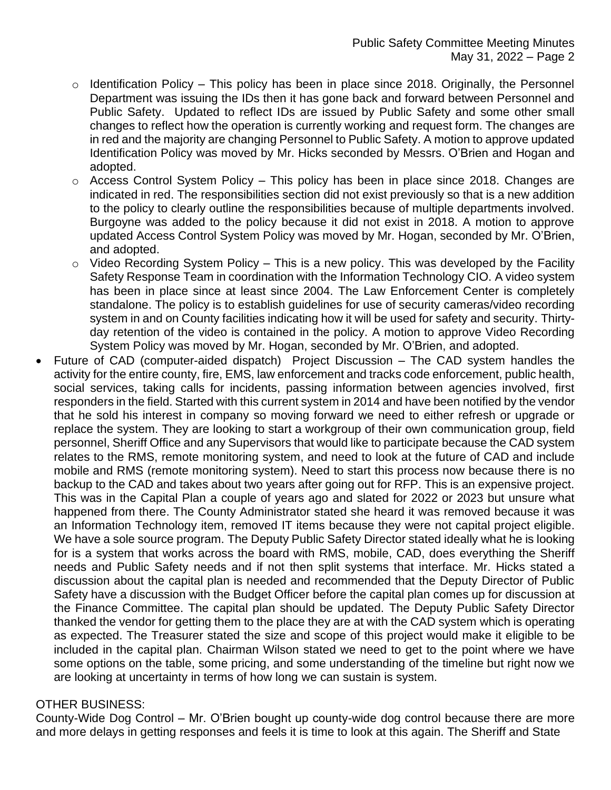- $\circ$  Identification Policy This policy has been in place since 2018. Originally, the Personnel Department was issuing the IDs then it has gone back and forward between Personnel and Public Safety. Updated to reflect IDs are issued by Public Safety and some other small changes to reflect how the operation is currently working and request form. The changes are in red and the majority are changing Personnel to Public Safety. A motion to approve updated Identification Policy was moved by Mr. Hicks seconded by Messrs. O'Brien and Hogan and adopted.
- $\circ$  Access Control System Policy This policy has been in place since 2018. Changes are indicated in red. The responsibilities section did not exist previously so that is a new addition to the policy to clearly outline the responsibilities because of multiple departments involved. Burgoyne was added to the policy because it did not exist in 2018. A motion to approve updated Access Control System Policy was moved by Mr. Hogan, seconded by Mr. O'Brien, and adopted.
- $\circ$  Video Recording System Policy This is a new policy. This was developed by the Facility Safety Response Team in coordination with the Information Technology CIO. A video system has been in place since at least since 2004. The Law Enforcement Center is completely standalone. The policy is to establish guidelines for use of security cameras/video recording system in and on County facilities indicating how it will be used for safety and security. Thirtyday retention of the video is contained in the policy. A motion to approve Video Recording System Policy was moved by Mr. Hogan, seconded by Mr. O'Brien, and adopted.
- Future of CAD (computer-aided dispatch) Project Discussion The CAD system handles the activity for the entire county, fire, EMS, law enforcement and tracks code enforcement, public health, social services, taking calls for incidents, passing information between agencies involved, first responders in the field. Started with this current system in 2014 and have been notified by the vendor that he sold his interest in company so moving forward we need to either refresh or upgrade or replace the system. They are looking to start a workgroup of their own communication group, field personnel, Sheriff Office and any Supervisors that would like to participate because the CAD system relates to the RMS, remote monitoring system, and need to look at the future of CAD and include mobile and RMS (remote monitoring system). Need to start this process now because there is no backup to the CAD and takes about two years after going out for RFP. This is an expensive project. This was in the Capital Plan a couple of years ago and slated for 2022 or 2023 but unsure what happened from there. The County Administrator stated she heard it was removed because it was an Information Technology item, removed IT items because they were not capital project eligible. We have a sole source program. The Deputy Public Safety Director stated ideally what he is looking for is a system that works across the board with RMS, mobile, CAD, does everything the Sheriff needs and Public Safety needs and if not then split systems that interface. Mr. Hicks stated a discussion about the capital plan is needed and recommended that the Deputy Director of Public Safety have a discussion with the Budget Officer before the capital plan comes up for discussion at the Finance Committee. The capital plan should be updated. The Deputy Public Safety Director thanked the vendor for getting them to the place they are at with the CAD system which is operating as expected. The Treasurer stated the size and scope of this project would make it eligible to be included in the capital plan. Chairman Wilson stated we need to get to the point where we have some options on the table, some pricing, and some understanding of the timeline but right now we are looking at uncertainty in terms of how long we can sustain is system.

### OTHER BUSINESS:

County-Wide Dog Control – Mr. O'Brien bought up county-wide dog control because there are more and more delays in getting responses and feels it is time to look at this again. The Sheriff and State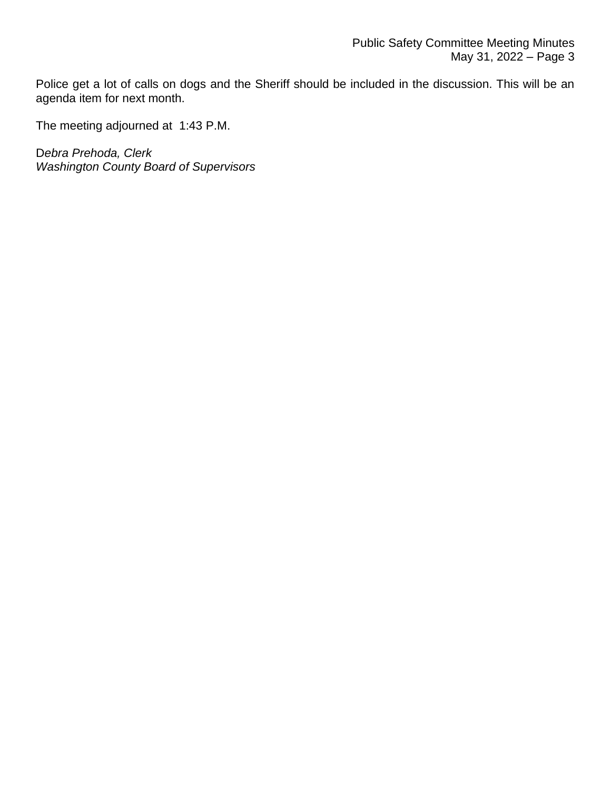Police get a lot of calls on dogs and the Sheriff should be included in the discussion. This will be an agenda item for next month.

The meeting adjourned at 1:43 P.M.

D*ebra Prehoda, Clerk Washington County Board of Supervisors*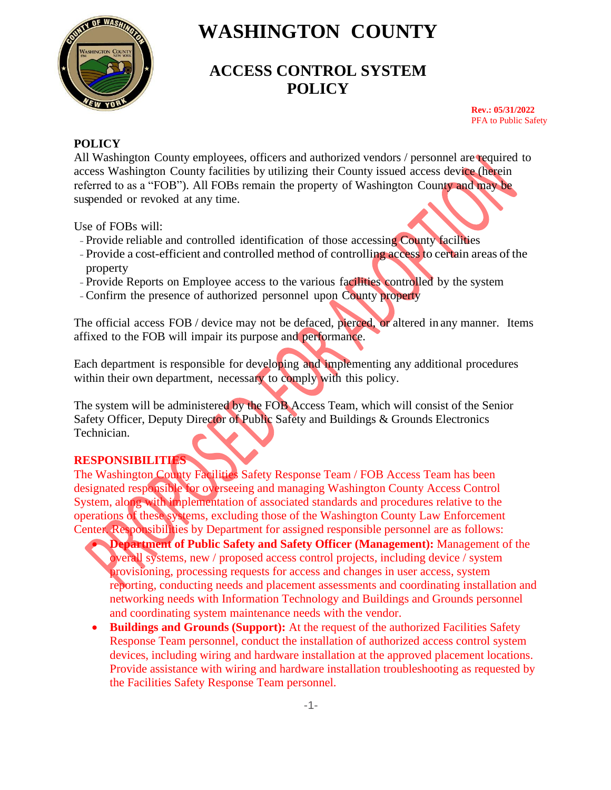

# **ACCESS CONTROL SYSTEM POLICY**

**Rev.: 05/31/2022** PFA to Public Safety

#### **POLICY**

All Washington County employees, officers and authorized vendors / personnel are required to access Washington County facilities by utilizing their County issued access device (herein referred to as a "FOB"). All FOBs remain the property of Washington County and may be suspended or revoked at any time.

Use of FOBs will:

- Provide reliable and controlled identification of those accessing County facilities
- Provide a cost-efficient and controlled method of controlling access to certain areas of the property
- Provide Reports on Employee access to the various facilities controlled by the system
- -Confirm the presence of authorized personnel upon County property

The official access FOB / device may not be defaced, pierced, or altered in any manner. Items affixed to the FOB will impair its purpose and performance.

Each department is responsible for developing and implementing any additional procedures within their own department, necessary to comply with this policy.

The system will be administered by the FOB Access Team, which will consist of the Senior Safety Officer, Deputy Director of Public Safety and Buildings & Grounds Electronics Technician.

# **RESPONSIBILITIES**

The Washington County Facilities Safety Response Team / FOB Access Team has been designated responsible for overseeing and managing Washington County Access Control System, along with implementation of associated standards and procedures relative to the operations of these systems, excluding those of the Washington County Law Enforcement Center. Responsibilities by Department for assigned responsible personnel are as follows:

- **Department of Public Safety and Safety Officer (Management):** Management of the overall systems, new / proposed access control projects, including device / system provisioning, processing requests for access and changes in user access, system reporting, conducting needs and placement assessments and coordinating installation and networking needs with Information Technology and Buildings and Grounds personnel and coordinating system maintenance needs with the vendor.
- **Buildings and Grounds (Support):** At the request of the authorized Facilities Safety Response Team personnel, conduct the installation of authorized access control system devices, including wiring and hardware installation at the approved placement locations. Provide assistance with wiring and hardware installation troubleshooting as requested by the Facilities Safety Response Team personnel.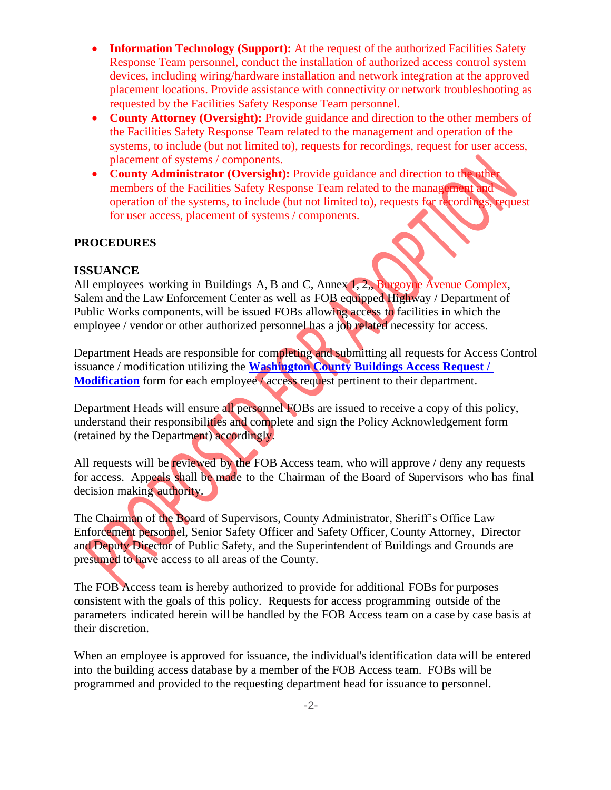- **Information Technology (Support):** At the request of the authorized Facilities Safety Response Team personnel, conduct the installation of authorized access control system devices, including wiring/hardware installation and network integration at the approved placement locations. Provide assistance with connectivity or network troubleshooting as requested by the Facilities Safety Response Team personnel.
- **County Attorney (Oversight):** Provide guidance and direction to the other members of the Facilities Safety Response Team related to the management and operation of the systems, to include (but not limited to), requests for recordings, request for user access, placement of systems / components.
- **County Administrator (Oversight):** Provide guidance and direction to the other members of the Facilities Safety Response Team related to the management and operation of the systems, to include (but not limited to), requests for recordings, request for user access, placement of systems / components.

#### **PROCEDURES**

#### **ISSUANCE**

All employees working in Buildings A, B and C, Annex 1, 2,, Burgoyne Avenue Complex, Salem and the Law Enforcement Center as well as FOB equipped Highway / Department of Public Works components, will be issued FOBs allowing access to facilities in which the employee / vendor or other authorized personnel has a job related necessity for access.

Department Heads are responsible for completing and submitting all requests for Access Control issuance / modification utilizing the **[Washington County Buildings Access Request /](https://ny-washingtoncounty.civicplus.com/FormCenter/Public-Safety-10/Washington-County-Building-Access-Reques-63)  [Modification](https://ny-washingtoncounty.civicplus.com/FormCenter/Public-Safety-10/Washington-County-Building-Access-Reques-63)** form for each employee *Access* request pertinent to their department.

Department Heads will ensure all personnel FOBs are issued to receive a copy of this policy, understand their responsibilities and complete and sign the Policy Acknowledgement form (retained by the Department) accordingly.

All requests will be reviewed by the FOB Access team, who will approve / deny any requests for access. Appeals shall be made to the Chairman of the Board of Supervisors who has final decision making authority.

The Chairman of the Board of Supervisors, County Administrator, Sheriff's Office Law Enforcement personnel, Senior Safety Officer and Safety Officer, County Attorney, Director and Deputy Director of Public Safety, and the Superintendent of Buildings and Grounds are presumed to have access to all areas of the County.

The FOB Access team is hereby authorized to provide for additional FOBs for purposes consistent with the goals of this policy. Requests for access programming outside of the parameters indicated herein will be handled by the FOB Access team on a case by case basis at their discretion.

When an employee is approved for issuance, the individual's identification data will be entered into the building access database by a member of the FOB Access team. FOBs will be programmed and provided to the requesting department head for issuance to personnel.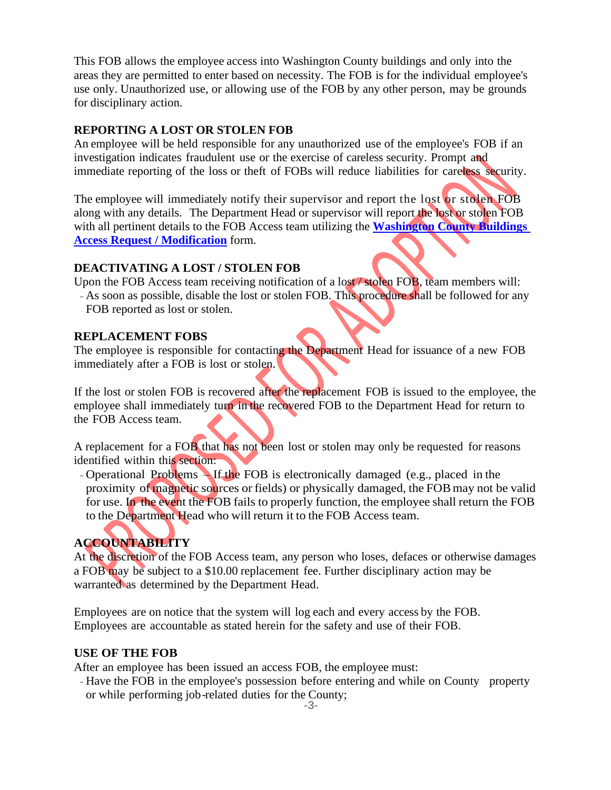This FOB allows the employee access into Washington County buildings and only into the areas they are permitted to enter based on necessity. The FOB is for the individual employee's use only. Unauthorized use, or allowing use of the FOB by any other person, may be grounds for disciplinary action.

#### **REPORTING A LOST OR STOLEN FOB**

An employee will be held responsible for any unauthorized use of the employee's FOB if an investigation indicates fraudulent use or the exercise of careless security. Prompt and immediate reporting of the loss or theft of FOBs will reduce liabilities for careless security.

The employee will immediately notify their supervisor and report the lost or stolen FOB along with any details. The Department Head or supervisor will report the lost or stolen FOB with all pertinent details to the FOB Access team utilizing the **[Washington County Buildings](https://ny-washingtoncounty.civicplus.com/FormCenter/Public-Safety-10/Washington-County-Building-Access-Reques-63)  [Access Request / Modification](https://ny-washingtoncounty.civicplus.com/FormCenter/Public-Safety-10/Washington-County-Building-Access-Reques-63)** form.

#### **DEACTIVATING A LOST / STOLEN FOB**

Upon the FOB Access team receiving notification of a lost / stolen FOB, team members will: - As soon as possible, disable the lost or stolen FOB. This procedure shall be followed for any FOB reported as lost or stolen.

#### **REPLACEMENT FOBS**

The employee is responsible for contacting the Department Head for issuance of a new FOB immediately after a FOB is lost or stolen.

If the lost or stolen FOB is recovered after the replacement FOB is issued to the employee, the employee shall immediately turn in the recovered FOB to the Department Head for return to the FOB Access team.

A replacement for a FOB that has not been lost or stolen may only be requested for reasons identified within this section:

- Operational Problems – If the FOB is electronically damaged (e.g., placed in the proximity of magnetic sources or fields) or physically damaged, the FOB may not be valid for use. In the event the FOB fails to properly function, the employee shall return the FOB to the Department Head who will return it to the FOB Access team.

# **ACCOUNTABILITY**

At the discretion of the FOB Access team, any person who loses, defaces or otherwise damages a FOB may be subject to a \$10.00 replacement fee. Further disciplinary action may be warranted as determined by the Department Head.

Employees are on notice that the system will log each and every access by the FOB. Employees are accountable as stated herein for the safety and use of their FOB.

### **USE OF THE FOB**

After an employee has been issued an access FOB, the employee must:

- Have the FOB in the employee's possession before entering and while on County property or while performing job-related duties for the County;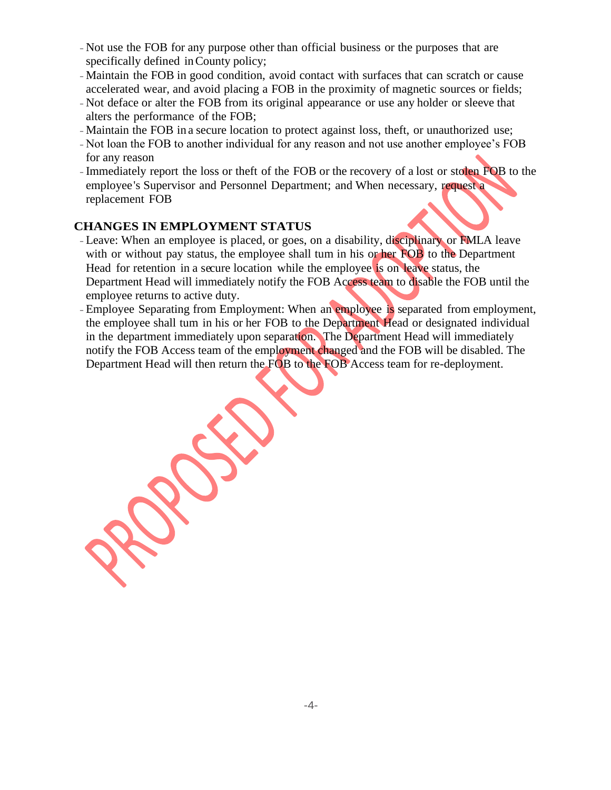- Not use the FOB for any purpose other than official business or the purposes that are specifically defined inCounty policy;
- -Maintain the FOB in good condition, avoid contact with surfaces that can scratch or cause accelerated wear, and avoid placing a FOB in the proximity of magnetic sources or fields;
- Not deface or alter the FOB from its original appearance or use any holder or sleeve that alters the performance of the FOB;
- -Maintain the FOB in a secure location to protect against loss, theft, or unauthorized use;
- Not loan the FOB to another individual for any reason and not use another employee's FOB for any reason
- -Immediately report the loss or theft of the FOB or the recovery of a lost or stolen FOB to the employee's Supervisor and Personnel Department; and When necessary, request a replacement FOB

#### **CHANGES IN EMPLOYMENT STATUS**

- Leave: When an employee is placed, or goes, on a disability, disciplinary or FMLA leave with or without pay status, the employee shall tum in his or her FOB to the Department Head for retention in a secure location while the employee is on leave status, the Department Head will immediately notify the FOB Access team to disable the FOB until the employee returns to active duty.
- Employee Separating from Employment: When an employee is separated from employment, the employee shall tum in his or her FOB to the Department Head or designated individual in the department immediately upon separation. The Department Head will immediately notify the FOB Access team of the employment changed and the FOB will be disabled. The Department Head will then return the FOB to the FOB Access team for re-deployment.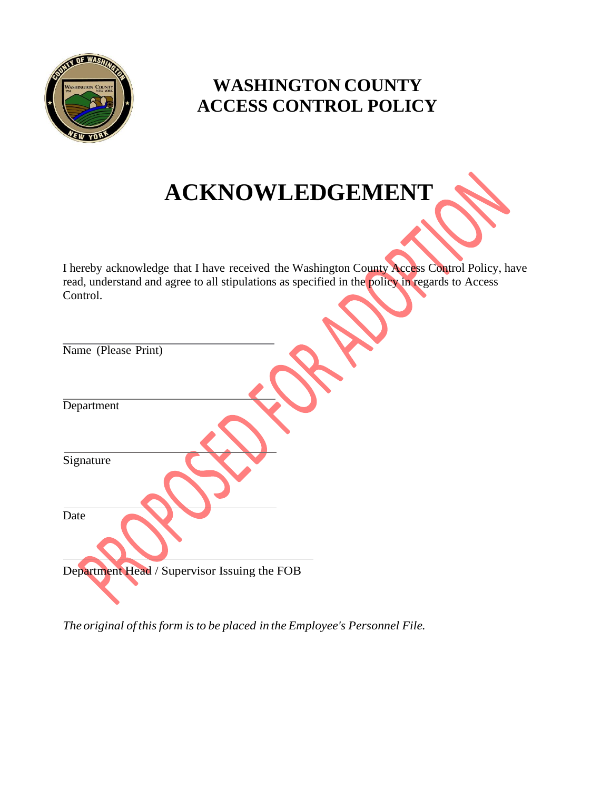

# **WASHINGTON COUNTY ACCESS CONTROL POLICY**

# **ACKNOWLEDGEMENT**

I hereby acknowledge that I have received the Washington County Access Control Policy, have read, understand and agree to all stipulations as specified in the policy in regards to Access Control.

| Name (Please Print)                          |
|----------------------------------------------|
| Department                                   |
| Signature                                    |
| Date                                         |
| Department Head / Supervisor Issuing the FOB |

*The original of thisform isto be placed in the Employee's Personnel File.*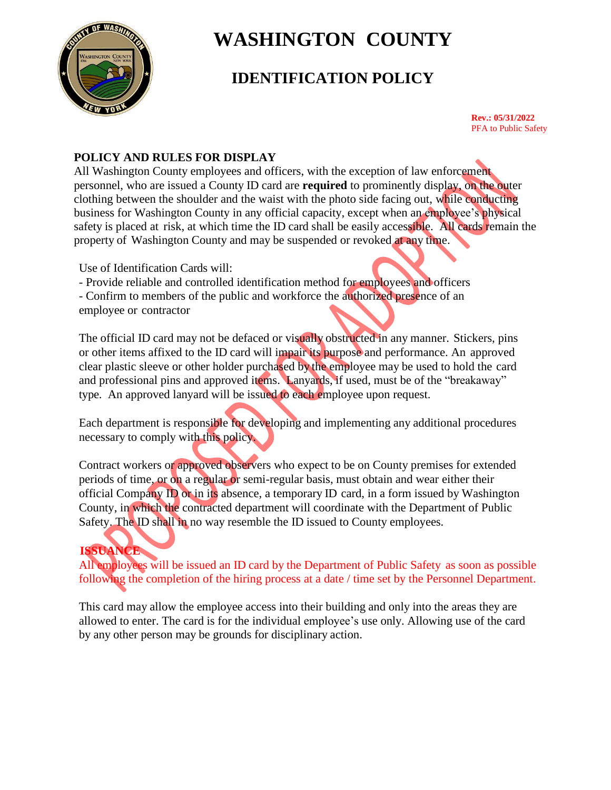

# **IDENTIFICATION POLICY**

**Rev.: 05/31/2022** PFA to Public Safety

## **POLICY AND RULES FOR DISPLAY**

All Washington County employees and officers, with the exception of law enforcement personnel, who are issued a County ID card are **required** to prominently display, on the outer clothing between the shoulder and the waist with the photo side facing out, while conducting business for Washington County in any official capacity, except when an employee's physical safety is placed at risk, at which time the ID card shall be easily accessible. All cards remain the property of Washington County and may be suspended or revoked at any time.

Use of Identification Cards will:

- Provide reliable and controlled identification method for employees and officers - Confirm to members of the public and workforce the authorized presence of an employee or contractor

The official ID card may not be defaced or visually obstructed in any manner. Stickers, pins or other items affixed to the ID card will impair its purpose and performance. An approved clear plastic sleeve or other holder purchased by the employee may be used to hold the card and professional pins and approved items. Lanyards, if used, must be of the "breakaway" type. An approved lanyard will be issued to each employee upon request.

Each department is responsible for developing and implementing any additional procedures necessary to comply with this policy.

Contract workers or approved observers who expect to be on County premises for extended periods of time, or on a regular or semi-regular basis, must obtain and wear either their official Company ID or in its absence, a temporary ID card, in a form issued by Washington County, in which the contracted department will coordinate with the Department of Public Safety. The ID shall in no way resemble the ID issued to County employees.

# **ISSUANCE**

All employees will be issued an ID card by the Department of Public Safety as soon as possible following the completion of the hiring process at a date / time set by the Personnel Department.

This card may allow the employee access into their building and only into the areas they are allowed to enter. The card is for the individual employee's use only. Allowing use of the card by any other person may be grounds for disciplinary action.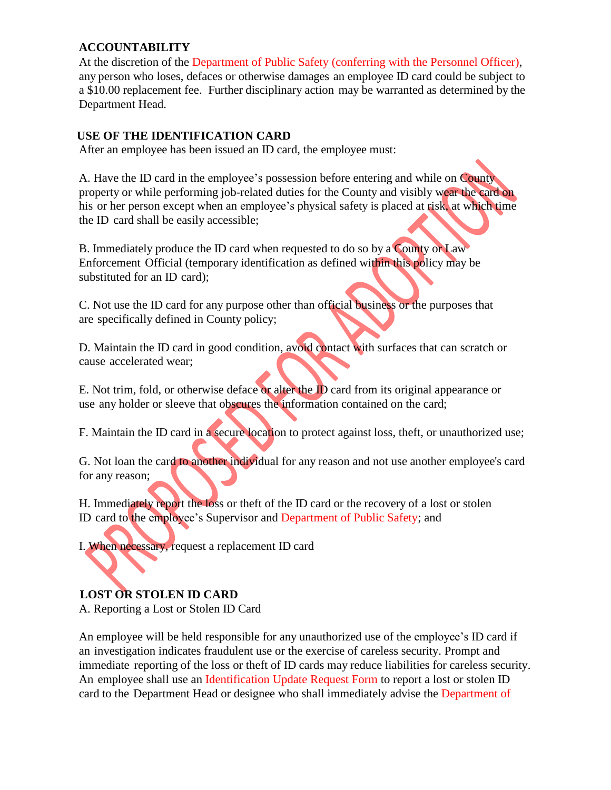### **ACCOUNTABILITY**

At the discretion of the Department of Public Safety (conferring with the Personnel Officer), any person who loses, defaces or otherwise damages an employee ID card could be subject to a \$10.00 replacement fee. Further disciplinary action may be warranted as determined by the Department Head.

### **USE OF THE IDENTIFICATION CARD**

After an employee has been issued an ID card, the employee must:

A. Have the ID card in the employee's possession before entering and while on County property or while performing job-related duties for the County and visibly wear the card on his or her person except when an employee's physical safety is placed at risk, at which time the ID card shall be easily accessible;

B. Immediately produce the ID card when requested to do so by a County or Law Enforcement Official (temporary identification as defined within this policy may be substituted for an ID card);

C. Not use the ID card for any purpose other than official business or the purposes that are specifically defined in County policy;

D. Maintain the ID card in good condition, avoid contact with surfaces that can scratch or cause accelerated wear;

E. Not trim, fold, or otherwise deface or alter the ID card from its original appearance or use any holder or sleeve that obscures the information contained on the card;

F. Maintain the ID card in a secure location to protect against loss, theft, or unauthorized use;

G. Not loan the card to another individual for any reason and not use another employee's card for any reason;

H. Immediately report the loss or theft of the ID card or the recovery of a lost or stolen ID card to the employee's Supervisor and Department of Public Safety; and

I. When necessary, request a replacement ID card

# **LOST OR STOLEN ID CARD**

A. Reporting a Lost or Stolen ID Card

An employee will be held responsible for any unauthorized use of the employee's ID card if an investigation indicates fraudulent use or the exercise of careless security. Prompt and immediate reporting of the loss or theft of ID cards may reduce liabilities for careless security. An employee shall use an Identification Update Request Form to report a lost or stolen ID card to the Department Head or designee who shall immediately advise the Department of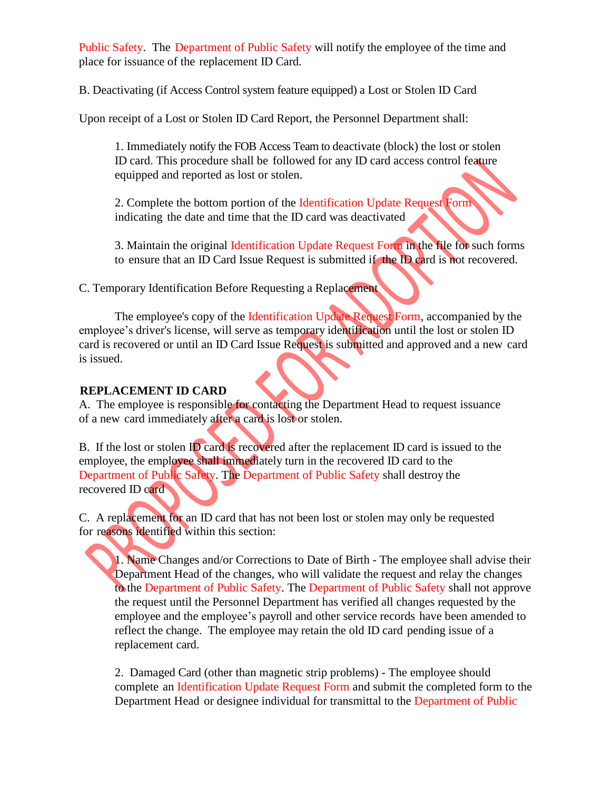Public Safety. The Department of Public Safety will notify the employee of the time and place for issuance of the replacement ID Card.

B. Deactivating (if Access Control system feature equipped) a Lost or Stolen ID Card

Upon receipt of a Lost or Stolen ID Card Report, the Personnel Department shall:

1. Immediately notify the FOB Access Team to deactivate (block) the lost or stolen ID card. This procedure shall be followed for any ID card access control feature equipped and reported as lost or stolen.

2. Complete the bottom portion of the Identification Update Request Form indicating the date and time that the ID card was deactivated

3. Maintain the original Identification Update Request Form in the file for such forms to ensure that an ID Card Issue Request is submitted if the ID card is not recovered.

C. Temporary Identification Before Requesting a Replacement

The employee's copy of the Identification Update Request Form, accompanied by the employee's driver's license, will serve as temporary identification until the lost or stolen ID card is recovered or until an ID Card Issue Request is submitted and approved and a new card is issued.

## **REPLACEMENT ID CARD**

A. The employee is responsible for contacting the Department Head to request issuance of a new card immediately after a card is lost or stolen.

B. If the lost or stolen ID card is recovered after the replacement ID card is issued to the employee, the employee shall immediately turn in the recovered ID card to the Department of Public Safety. The Department of Public Safety shall destroy the recovered ID card

C. A replacement for an ID card that has not been lost or stolen may only be requested for reasons identified within this section:

1. Name Changes and/or Corrections to Date of Birth - The employee shall advise their Department Head of the changes, who will validate the request and relay the changes to the Department of Public Safety. The Department of Public Safety shall not approve the request until the Personnel Department has verified all changes requested by the employee and the employee's payroll and other service records have been amended to reflect the change. The employee may retain the old ID card pending issue of a replacement card.

2. Damaged Card (other than magnetic strip problems) - The employee should complete an Identification Update Request Form and submit the completed form to the Department Head or designee individual for transmittal to the Department of Public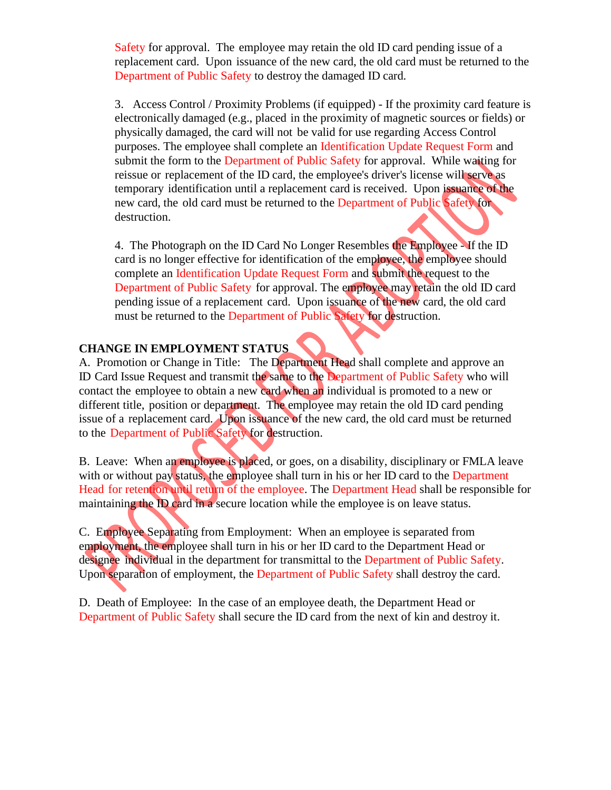Safety for approval. The employee may retain the old ID card pending issue of a replacement card. Upon issuance of the new card, the old card must be returned to the Department of Public Safety to destroy the damaged ID card.

3. Access Control / Proximity Problems (if equipped) - If the proximity card feature is electronically damaged (e.g., placed in the proximity of magnetic sources or fields) or physically damaged, the card will not be valid for use regarding Access Control purposes. The employee shall complete an Identification Update Request Form and submit the form to the Department of Public Safety for approval. While waiting for reissue or replacement of the ID card, the employee's driver's license will serve as temporary identification until a replacement card is received. Upon issuance of the new card, the old card must be returned to the Department of Public Safety for destruction.

4. The Photograph on the ID Card No Longer Resembles the Employee - If the ID card is no longer effective for identification of the employee, the employee should complete an Identification Update Request Form and submit the request to the Department of Public Safety for approval. The employee may retain the old ID card pending issue of a replacement card. Upon issuance of the new card, the old card must be returned to the Department of Public Safety for destruction.

## **CHANGE IN EMPLOYMENT STATUS**

A. Promotion or Change in Title: The Department Head shall complete and approve an ID Card Issue Request and transmit the same to the Department of Public Safety who will contact the employee to obtain a new card when an individual is promoted to a new or different title, position or department. The employee may retain the old ID card pending issue of a replacement card. Upon issuance of the new card, the old card must be returned to the Department of Public Safety for destruction.

B. Leave: When an employee is placed, or goes, on a disability, disciplinary or FMLA leave with or without pay status, the employee shall turn in his or her ID card to the Department Head for retention until return of the employee. The Department Head shall be responsible for maintaining the ID card in a secure location while the employee is on leave status.

C. Employee Separating from Employment: When an employee is separated from employment, the employee shall turn in his or her ID card to the Department Head or designee individual in the department for transmittal to the Department of Public Safety. Upon separation of employment, the Department of Public Safety shall destroy the card.

D. Death of Employee: In the case of an employee death, the Department Head or Department of Public Safety shall secure the ID card from the next of kin and destroy it.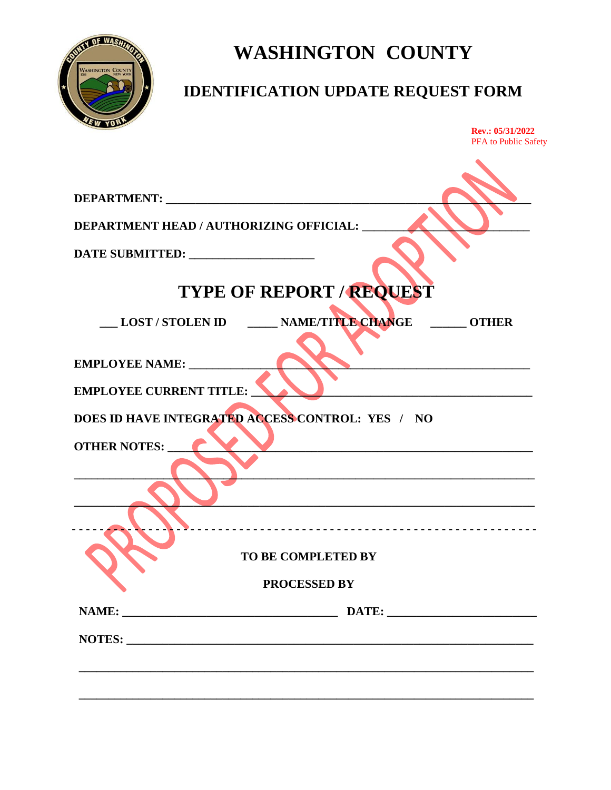

# **IDENTIFICATION UPDATE REQUEST FORM**

| DEPARTMENT: NAMEL AND STREET<br><b>TYPE OF REPORT / REQUEST</b><br>LOST / STOLEN ID _____ NAME/TITLE CHANGE ______ OTHER<br><u> 1989 - Johann Stein, mars an deutscher Stein und der Stein und der Stein und der Stein und der Stein und der</u><br><b>TO BE COMPLETED BY</b><br><b>PROCESSED BY</b> |  | Rev.: 05/31/2022<br>PFA to Public Safety |
|------------------------------------------------------------------------------------------------------------------------------------------------------------------------------------------------------------------------------------------------------------------------------------------------------|--|------------------------------------------|
|                                                                                                                                                                                                                                                                                                      |  |                                          |
| <b>DEPARTMENT HEAD / AUTHORIZING OFFICIAL:</b><br>EMPLOYEE NAME:<br><b>EMPLOYEE CURRENT TITLE:</b><br>DOES ID HAVE INTEGRATED ACCESS CONTROL: YES / NO<br><b>OTHER NOTES:</b>                                                                                                                        |  |                                          |
|                                                                                                                                                                                                                                                                                                      |  |                                          |
|                                                                                                                                                                                                                                                                                                      |  |                                          |
|                                                                                                                                                                                                                                                                                                      |  |                                          |
|                                                                                                                                                                                                                                                                                                      |  |                                          |
|                                                                                                                                                                                                                                                                                                      |  |                                          |
|                                                                                                                                                                                                                                                                                                      |  |                                          |
|                                                                                                                                                                                                                                                                                                      |  |                                          |
|                                                                                                                                                                                                                                                                                                      |  |                                          |
|                                                                                                                                                                                                                                                                                                      |  |                                          |
|                                                                                                                                                                                                                                                                                                      |  |                                          |
|                                                                                                                                                                                                                                                                                                      |  |                                          |
|                                                                                                                                                                                                                                                                                                      |  |                                          |
|                                                                                                                                                                                                                                                                                                      |  |                                          |
|                                                                                                                                                                                                                                                                                                      |  |                                          |
|                                                                                                                                                                                                                                                                                                      |  |                                          |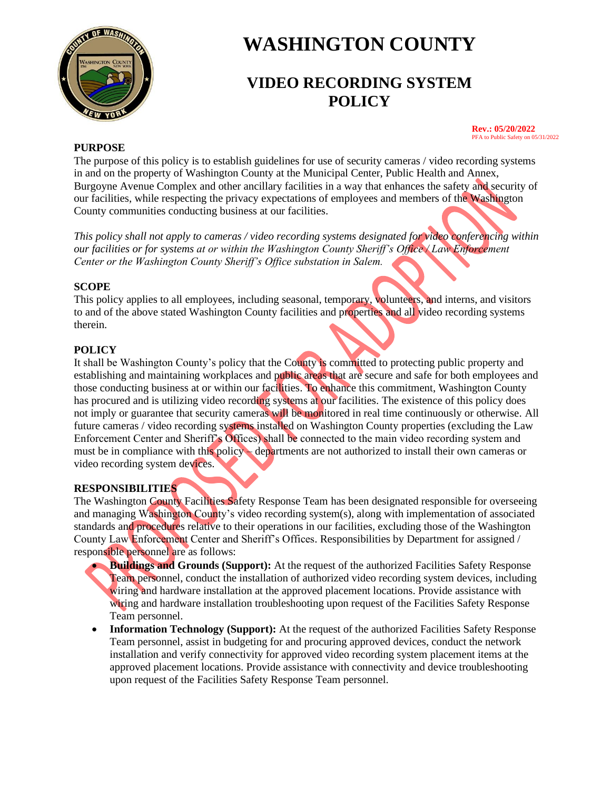

# **VIDEO RECORDING SYSTEM POLICY**

#### **Rev.: 05/20/2022** PFA to Public Safety on 05/31/2022

#### **PURPOSE**

The purpose of this policy is to establish guidelines for use of security cameras / video recording systems in and on the property of Washington County at the Municipal Center, Public Health and Annex, Burgoyne Avenue Complex and other ancillary facilities in a way that enhances the safety and security of our facilities, while respecting the privacy expectations of employees and members of the Washington County communities conducting business at our facilities.

*This policy shall not apply to cameras / video recording systems designated for video conferencing within our facilities or for systems at or within the Washington County Sheriff's Office / Law Enforcement Center or the Washington County Sheriff's Office substation in Salem.*

#### **SCOPE**

This policy applies to all employees, including seasonal, temporary, volunteers, and interns, and visitors to and of the above stated Washington County facilities and properties and all video recording systems therein.

#### **POLICY**

It shall be Washington County's policy that the County is committed to protecting public property and establishing and maintaining workplaces and public areas that are secure and safe for both employees and those conducting business at or within our facilities. To enhance this commitment, Washington County has procured and is utilizing video recording systems at our facilities. The existence of this policy does not imply or guarantee that security cameras will be monitored in real time continuously or otherwise. All future cameras / video recording systems installed on Washington County properties (excluding the Law Enforcement Center and Sheriff's Offices) shall be connected to the main video recording system and must be in compliance with this policy – departments are not authorized to install their own cameras or video recording system devices.

### **RESPONSIBILITIES**

The Washington County Facilities Safety Response Team has been designated responsible for overseeing and managing Washington County's video recording system(s), along with implementation of associated standards and procedures relative to their operations in our facilities, excluding those of the Washington County Law Enforcement Center and Sheriff's Offices. Responsibilities by Department for assigned / responsible personnel are as follows:

- **Buildings and Grounds (Support):** At the request of the authorized Facilities Safety Response Team personnel, conduct the installation of authorized video recording system devices, including wiring and hardware installation at the approved placement locations. Provide assistance with wiring and hardware installation troubleshooting upon request of the Facilities Safety Response Team personnel.
- **Information Technology (Support):** At the request of the authorized Facilities Safety Response Team personnel, assist in budgeting for and procuring approved devices, conduct the network installation and verify connectivity for approved video recording system placement items at the approved placement locations. Provide assistance with connectivity and device troubleshooting upon request of the Facilities Safety Response Team personnel.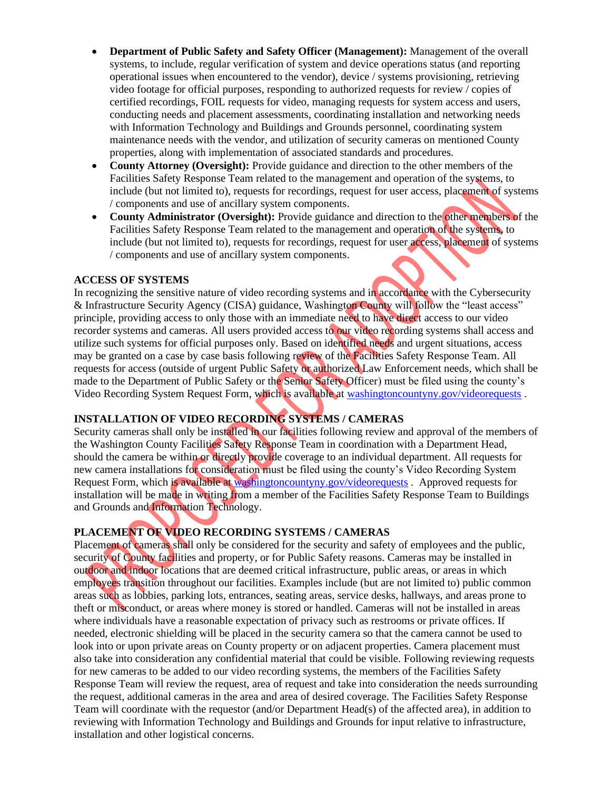- **Department of Public Safety and Safety Officer (Management):** Management of the overall systems, to include, regular verification of system and device operations status (and reporting operational issues when encountered to the vendor), device / systems provisioning, retrieving video footage for official purposes, responding to authorized requests for review / copies of certified recordings, FOIL requests for video, managing requests for system access and users, conducting needs and placement assessments, coordinating installation and networking needs with Information Technology and Buildings and Grounds personnel, coordinating system maintenance needs with the vendor, and utilization of security cameras on mentioned County properties, along with implementation of associated standards and procedures.
- **County Attorney (Oversight):** Provide guidance and direction to the other members of the Facilities Safety Response Team related to the management and operation of the systems, to include (but not limited to), requests for recordings, request for user access, placement of systems / components and use of ancillary system components.
- **County Administrator (Oversight):** Provide guidance and direction to the other members of the Facilities Safety Response Team related to the management and operation of the systems, to include (but not limited to), requests for recordings, request for user access, placement of systems / components and use of ancillary system components.

#### **ACCESS OF SYSTEMS**

In recognizing the sensitive nature of video recording systems and in accordance with the Cybersecurity & Infrastructure Security Agency (CISA) guidance, Washington County will follow the "least access" principle, providing access to only those with an immediate need to have direct access to our video recorder systems and cameras. All users provided access to our video recording systems shall access and utilize such systems for official purposes only. Based on identified needs and urgent situations, access may be granted on a case by case basis following review of the Facilities Safety Response Team. All requests for access (outside of urgent Public Safety or authorized Law Enforcement needs, which shall be made to the Department of Public Safety or the Senior Safety Officer) must be filed using the county's Video Recording System Request Form, which is available a[t washingtoncountyny.gov/videorequests](https://washingtoncountyny.gov/FormCenter/Public-Safety-10/Washington-County-Video-Recording-System-77) .

#### **INSTALLATION OF VIDEO RECORDING SYSTEMS / CAMERAS**

Security cameras shall only be installed in our facilities following review and approval of the members of the Washington County Facilities Safety Response Team in coordination with a Department Head, should the camera be within or directly provide coverage to an individual department. All requests for new camera installations for consideration must be filed using the county's Video Recording System Request Form, which is available at [washingtoncountyny.gov/videorequests](https://washingtoncountyny.gov/FormCenter/Public-Safety-10/Washington-County-Video-Recording-System-77) . Approved requests for installation will be made in writing from a member of the Facilities Safety Response Team to Buildings and Grounds and Information Technology.

#### **PLACEMENT OF VIDEO RECORDING SYSTEMS / CAMERAS**

Placement of cameras shall only be considered for the security and safety of employees and the public, security of County facilities and property, or for Public Safety reasons. Cameras may be installed in outdoor and indoor locations that are deemed critical infrastructure, public areas, or areas in which employees transition throughout our facilities. Examples include (but are not limited to) public common areas such as lobbies, parking lots, entrances, seating areas, service desks, hallways, and areas prone to theft or misconduct, or areas where money is stored or handled. Cameras will not be installed in areas where individuals have a reasonable expectation of privacy such as restrooms or private offices. If needed, electronic shielding will be placed in the security camera so that the camera cannot be used to look into or upon private areas on County property or on adjacent properties. Camera placement must also take into consideration any confidential material that could be visible. Following reviewing requests for new cameras to be added to our video recording systems, the members of the Facilities Safety Response Team will review the request, area of request and take into consideration the needs surrounding the request, additional cameras in the area and area of desired coverage. The Facilities Safety Response Team will coordinate with the requestor (and/or Department Head(s) of the affected area), in addition to reviewing with Information Technology and Buildings and Grounds for input relative to infrastructure, installation and other logistical concerns.